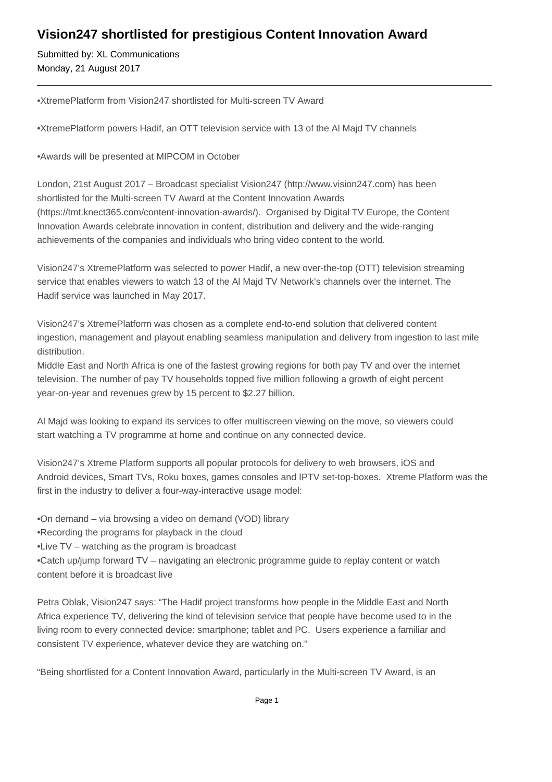## **Vision247 shortlisted for prestigious Content Innovation Award**

Submitted by: XL Communications Monday, 21 August 2017

• XtremePlatform from Vision247 shortlisted for Multi-screen TV Award

- • XtremePlatform powers Hadif, an OTT television service with 13 of the Al Majd TV channels
- • Awards will be presented at MIPCOM in October

London, 21st August 2017 – Broadcast specialist Vision247 (http://www.vision247.com) has been shortlisted for the Multi-screen TV Award at the Content Innovation Awards (https://tmt.knect365.com/content-innovation-awards/). Organised by Digital TV Europe, the Content Innovation Awards celebrate innovation in content, distribution and delivery and the wide-ranging achievements of the companies and individuals who bring video content to the world.

Vision247's XtremePlatform was selected to power Hadif, a new over-the-top (OTT) television streaming service that enables viewers to watch 13 of the Al Majd TV Network's channels over the internet. The Hadif service was launched in May 2017.

Vision247's XtremePlatform was chosen as a complete end-to-end solution that delivered content ingestion, management and playout enabling seamless manipulation and delivery from ingestion to last mile distribution.

Middle East and North Africa is one of the fastest growing regions for both pay TV and over the internet television. The number of pay TV households topped five million following a growth of eight percent year-on-year and revenues grew by 15 percent to \$2.27 billion.

Al Majd was looking to expand its services to offer multiscreen viewing on the move, so viewers could start watching a TV programme at home and continue on any connected device.

Vision247's Xtreme Platform supports all popular protocols for delivery to web browsers, iOS and Android devices, Smart TVs, Roku boxes, games consoles and IPTV set-top-boxes. Xtreme Platform was the first in the industry to deliver a four-way-interactive usage model:

- On demand via browsing a video on demand (VOD) library
- • Recording the programs for playback in the cloud
- Live TV watching as the program is broadcast

• Catch up/jump forward TV – navigating an electronic programme guide to replay content or watch content before it is broadcast live

Petra Oblak, Vision247 says: "The Hadif project transforms how people in the Middle East and North Africa experience TV, delivering the kind of television service that people have become used to in the living room to every connected device: smartphone; tablet and PC. Users experience a familiar and consistent TV experience, whatever device they are watching on."

"Being shortlisted for a Content Innovation Award, particularly in the Multi-screen TV Award, is an